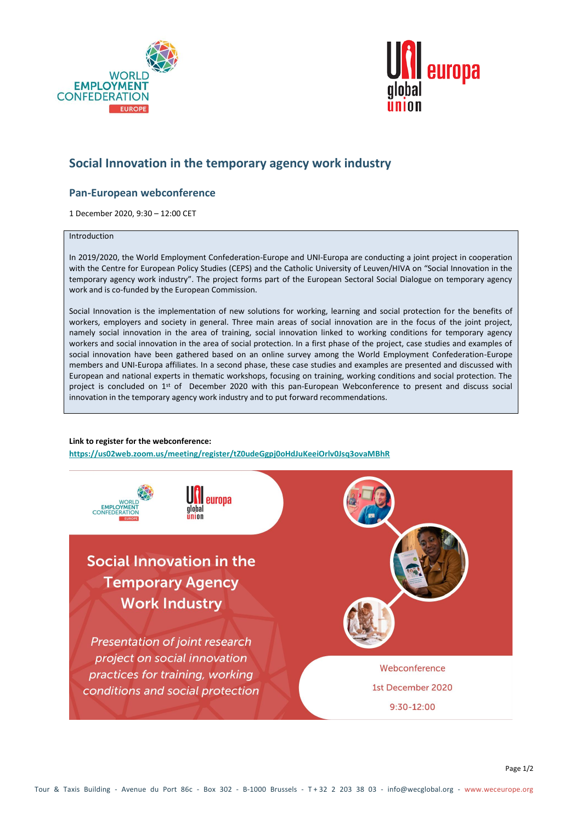



# **Social Innovation in the temporary agency work industry**

## **Pan-European webconference**

1 December 2020, 9:30 – 12:00 CET

#### **Introduction**

In 2019/2020, the World Employment Confederation-Europe and UNI-Europa are conducting a joint project in cooperation with the Centre for European Policy Studies (CEPS) and the Catholic University of Leuven/HIVA on "Social Innovation in the temporary agency work industry". The project forms part of the European Sectoral Social Dialogue on temporary agency work and is co-funded by the European Commission.

Social Innovation is the implementation of new solutions for working, learning and social protection for the benefits of workers, employers and society in general. Three main areas of social innovation are in the focus of the joint project, namely social innovation in the area of training, social innovation linked to working conditions for temporary agency workers and social innovation in the area of social protection. In a first phase of the project, case studies and examples of social innovation have been gathered based on an online survey among the World Employment Confederation-Europe members and UNI-Europa affiliates. In a second phase, these case studies and examples are presented and discussed with European and national experts in thematic workshops, focusing on training, working conditions and social protection. The project is concluded on 1<sup>st</sup> of December 2020 with this pan-European Webconference to present and discuss social innovation in the temporary agency work industry and to put forward recommendations.

#### **Link to register for the webconference:**

**<https://us02web.zoom.us/meeting/register/tZ0udeGgpj0oHdJuKeeiOrlv0Jsq3ovaMBhR>**